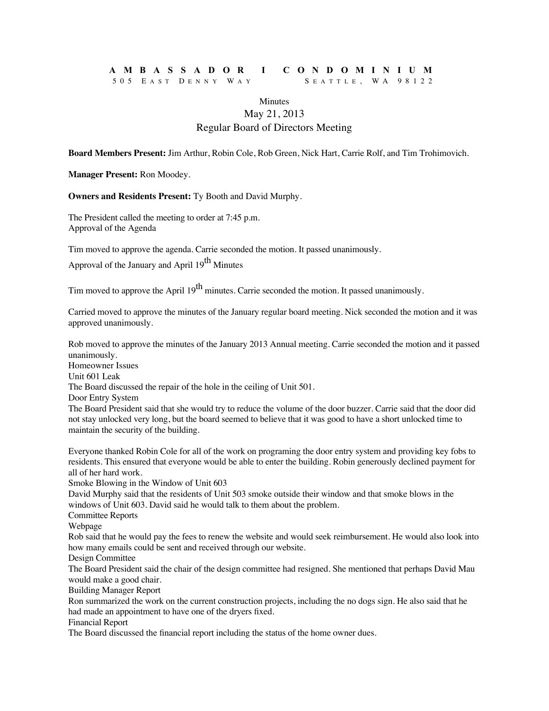## **AMBASSADOR I CONDOMINIUM** 505 E AST D ENNY W A Y S EATTLE , WA 98122

## **Minutes** May 21, 2013 Regular Board of Directors Meeting

**Board Members Present:** Jim Arthur, Robin Cole, Rob Green, Nick Hart, Carrie Rolf, and Tim Trohimovich.

**Manager Present:** Ron Moodey.

**Owners and Residents Present:** Ty Booth and David Murphy.

The President called the meeting to order at 7:45 p.m. Approval of the Agenda

Tim moved to approve the agenda. Carrie seconded the motion. It passed unanimously.

Approval of the January and April 19<sup>th</sup> Minutes

Tim moved to approve the April 19<sup>th</sup> minutes. Carrie seconded the motion. It passed unanimously.

Carried moved to approve the minutes of the January regular board meeting. Nick seconded the motion and it was approved unanimously.

Rob moved to approve the minutes of the January 2013 Annual meeting. Carrie seconded the motion and it passed unanimously.

Homeowner Issues

Unit 601 Leak

The Board discussed the repair of the hole in the ceiling of Unit 501.

Door Entry System

The Board President said that she would try to reduce the volume of the door buzzer. Carrie said that the door did not stay unlocked very long, but the board seemed to believe that it was good to have a short unlocked time to maintain the security of the building.

Everyone thanked Robin Cole for all of the work on programing the door entry system and providing key fobs to residents. This ensured that everyone would be able to enter the building. Robin generously declined payment for all of her hard work.

Smoke Blowing in the Window of Unit 603

David Murphy said that the residents of Unit 503 smoke outside their window and that smoke blows in the windows of Unit 603. David said he would talk to them about the problem.

Committee Reports

Webpage

Rob said that he would pay the fees to renew the website and would seek reimbursement. He would also look into how many emails could be sent and received through our website.

Design Committee

The Board President said the chair of the design committee had resigned. She mentioned that perhaps David Mau would make a good chair.

Building Manager Report

Ron summarized the work on the current construction projects, including the no dogs sign. He also said that he had made an appointment to have one of the dryers fixed.

Financial Report

The Board discussed the financial report including the status of the home owner dues.